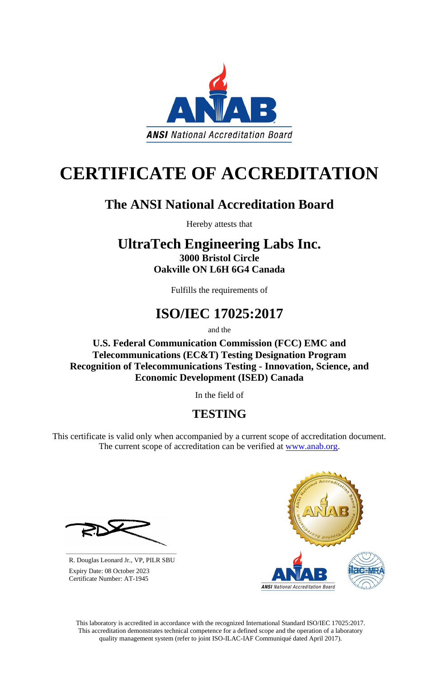This laboratory is accredited in accordance with the recognized International Standard ISO/IEC 17025:2017. This accreditation demonstrates technical competence for a defined scope and the operation of a laboratory quality management system (refer to joint ISO-ILAC-IAF Communiqué dated April 2017).



# **CERTIFICATE OF ACCREDITATION**

### **The ANSI National Accreditation Board**

Hereby attests that

This certificate is valid only when accompanied by a current scope of accreditation document. The current scope of accreditation can be verified at [www.anab.org.](http://www.anab.org/)



### **UltraTech Engineering Labs Inc. 3000 Bristol Circle Oakville ON L6H 6G4 Canada**

Fulfills the requirements of

## **ISO/IEC 17025:2017**

and the

**U.S. Federal Communication Commission (FCC) EMC and Telecommunications (EC&T) Testing Designation Program Recognition of Telecommunications Testing - Innovation, Science, and Economic Development (ISED) Canada**

In the field of

### **TESTING**

**\_\_\_\_\_\_\_\_\_\_\_\_\_\_\_\_\_\_\_\_\_\_\_\_\_\_\_\_\_\_** R. Douglas Leonard Jr., VP, PILR SBU

 Expiry Date: 08 October 2023 Certificate Number: AT-1945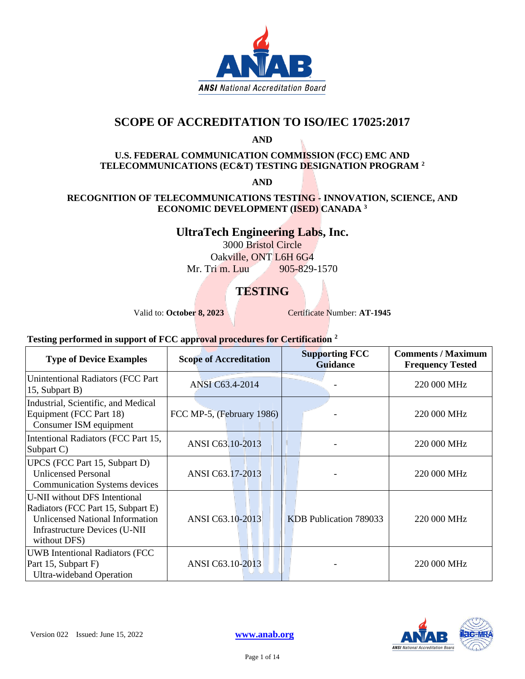

#### **SCOPE OF ACCREDITATION TO ISO/IEC 17025:2017**

**AND**

#### **U.S. FEDERAL COMMUNICATION COMMISSION (FCC) EMC AND TELECOMMUNICATIONS (EC&T) TESTING DESIGNATION PROGRAM <sup>2</sup>**

**AND**

#### **RECOGNITION OF TELECOMMUNICATIONS TESTING - INNOVATION, SCIENCE, AND ECONOMIC DEVELOPMENT (ISED) CANADA <sup>3</sup>**

#### **UltraTech Engineering Labs, Inc.**

3000 Bristol Circle Oakville, ONT L6H 6G4 Mr. Tri m. Luu 905-829-1570

#### **TESTING**

Valid to: October 8, 2023<br>
Certificate Number: **AT-1945** 

#### • **Testing performed in support of FCC approval procedures for Certification <sup>2</sup>**

| <b>Type of Device Examples</b>                                                                                                                                        | <b>Scope of Accreditation</b> | <b>Supporting FCC</b><br><b>Guidance</b> | <b>Comments / Maximum</b><br><b>Frequency Tested</b> |
|-----------------------------------------------------------------------------------------------------------------------------------------------------------------------|-------------------------------|------------------------------------------|------------------------------------------------------|
| Unintentional Radiators (FCC Part<br>15, Subpart B)                                                                                                                   | ANSI C63.4-2014               |                                          | 220 000 MHz                                          |
| Industrial, Scientific, and Medical<br>Equipment (FCC Part 18)<br>Consumer ISM equipment                                                                              | FCC MP-5, (February 1986)     |                                          | 220 000 MHz                                          |
| Intentional Radiators (FCC Part 15,<br>Subpart C)                                                                                                                     | ANSI C63.10-2013              |                                          | 220 000 MHz                                          |
| UPCS (FCC Part 15, Subpart D)<br><b>Unlicensed Personal</b><br><b>Communication Systems devices</b>                                                                   | ANSI C63.17-2013              |                                          | 220 000 MHz                                          |
| U-NII without DFS Intentional<br>Radiators (FCC Part 15, Subpart E)<br><b>Unlicensed National Information</b><br><b>Infrastructure Devices (U-NII</b><br>without DFS) | ANSI C63.10-2013              | KDB Publication 789033                   | 220 000 MHz                                          |
| <b>UWB</b> Intentional Radiators (FCC<br>Part 15, Subpart F)<br>Ultra-wideband Operation                                                                              | ANSI C63.10-2013              |                                          | 220 000 MHz                                          |

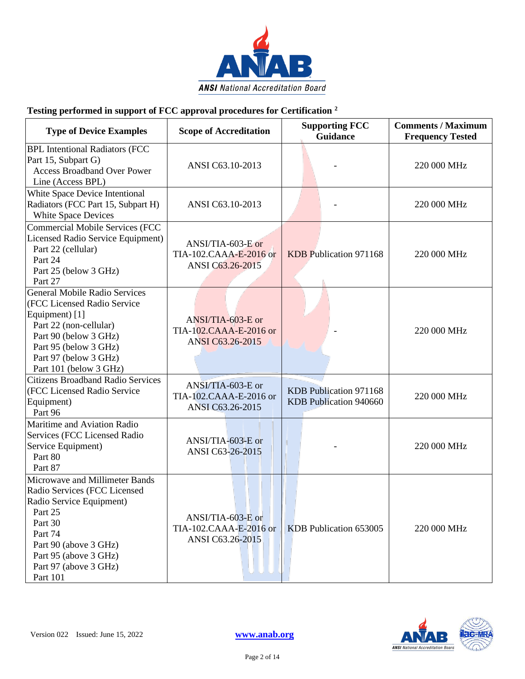

#### • **Testing performed in support of FCC approval procedures for Certification <sup>2</sup>**

| <b>Type of Device Examples</b>                                                                                                                                                                                       | <b>Scope of Accreditation</b>                                   | <b>Supporting FCC</b><br><b>Guidance</b>         | <b>Comments / Maximum</b><br><b>Frequency Tested</b> |
|----------------------------------------------------------------------------------------------------------------------------------------------------------------------------------------------------------------------|-----------------------------------------------------------------|--------------------------------------------------|------------------------------------------------------|
| <b>BPL Intentional Radiators (FCC</b><br>Part 15, Subpart G)<br><b>Access Broadband Over Power</b><br>Line (Access BPL)                                                                                              | ANSI C63.10-2013                                                |                                                  | 220 000 MHz                                          |
| White Space Device Intentional<br>Radiators (FCC Part 15, Subpart H)<br><b>White Space Devices</b>                                                                                                                   | ANSI C63.10-2013                                                |                                                  | 220 000 MHz                                          |
| <b>Commercial Mobile Services (FCC</b><br>Licensed Radio Service Equipment)<br>Part 22 (cellular)<br>Part 24<br>Part 25 (below 3 GHz)<br>Part 27                                                                     | ANSI/TIA-603-E or<br>TIA-102.CAAA-E-2016 or<br>ANSI C63.26-2015 | KDB Publication 971168                           | 220 000 MHz                                          |
| <b>General Mobile Radio Services</b><br>(FCC Licensed Radio Service<br>Equipment) [1]<br>Part 22 (non-cellular)<br>Part 90 (below 3 GHz)<br>Part 95 (below 3 GHz)<br>Part 97 (below 3 GHz)<br>Part 101 (below 3 GHz) | ANSI/TIA-603-E or<br>TIA-102.CAAA-E-2016 or<br>ANSI C63.26-2015 |                                                  | 220 000 MHz                                          |
| <b>Citizens Broadband Radio Services</b><br>(FCC Licensed Radio Service<br>Equipment)<br>Part 96                                                                                                                     | ANSI/TIA-603-E or<br>TIA-102.CAAA-E-2016 or<br>ANSI C63.26-2015 | KDB Publication 971168<br>KDB Publication 940660 | 220 000 MHz                                          |
| Maritime and Aviation Radio<br>Services (FCC Licensed Radio<br>Service Equipment)<br>Part 80<br>Part 87                                                                                                              | ANSI/TIA-603-E or<br>ANSI C63-26-2015                           |                                                  | 220 000 MHz                                          |
| Microwave and Millimeter Bands<br>Radio Services (FCC Licensed<br>Radio Service Equipment)<br>Part 25<br>Part 30<br>Part 74<br>Part 90 (above 3 GHz)<br>Part 95 (above 3 GHz)<br>Part 97 (above 3 GHz)<br>Part 101   | ANSI/TIA-603-E or<br>TIA-102.CAAA-E-2016 or<br>ANSI C63.26-2015 | KDB Publication 653005                           | 220 000 MHz                                          |

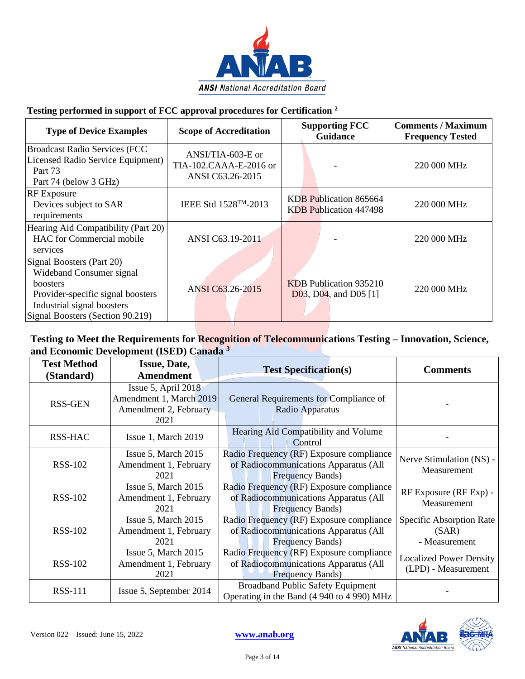

#### • **Testing performed in support of FCC approval procedures for Certification <sup>2</sup>**

| <b>Type of Device Examples</b>                                                                                                                                                  | <b>Scope of Accreditation</b>                                     | <b>Supporting FCC</b><br><b>Guidance</b>                 | <b>Comments / Maximum</b><br><b>Frequency Tested</b> |
|---------------------------------------------------------------------------------------------------------------------------------------------------------------------------------|-------------------------------------------------------------------|----------------------------------------------------------|------------------------------------------------------|
| <b>Broadcast Radio Services (FCC</b><br>Licensed Radio Service Equipment)<br>Part 73<br>Part 74 (below 3 GHz)                                                                   | $ANSI/TIA-603-E$ or<br>TIA-102.CAAA-E-2016 or<br>ANSI C63.26-2015 |                                                          | 220 000 MHz                                          |
| <b>RF</b> Exposure<br>Devices subject to SAR<br>requirements                                                                                                                    | IEEE Std 1528 <sup>TM</sup> -2013                                 | KDB Publication 865664<br><b>KDB</b> Publication 447498  | 220 000 MHz                                          |
| Hearing Aid Compatibility (Part 20)<br>HAC for Commercial mobile<br>services                                                                                                    | ANSI C63.19-2011                                                  |                                                          | 220 000 MHz                                          |
| Signal Boosters (Part 20)<br>Wideband Consumer signal<br><b>boosters</b><br>Provider-specific signal boosters<br>Industrial signal boosters<br>Signal Boosters (Section 90.219) | ANSI C63.26-2015                                                  | <b>KDB</b> Publication 935210<br>D03, D04, and D05 $[1]$ | 220 000 MHz                                          |

| <b>Test Method</b> | <b>Issue, Date,</b>     | <b>Test Specification(s)</b>               | <b>Comments</b>                |  |
|--------------------|-------------------------|--------------------------------------------|--------------------------------|--|
| (Standard)         | <b>Amendment</b>        |                                            |                                |  |
|                    | Issue 5, April 2018     |                                            |                                |  |
| <b>RSS-GEN</b>     | Amendment 1, March 2019 | General Requirements for Compliance of     |                                |  |
|                    | Amendment 2, February   | Radio Apparatus                            |                                |  |
|                    | 2021                    |                                            |                                |  |
| RSS-HAC            | Issue 1, March 2019     | Hearing Aid Compatibility and Volume       |                                |  |
|                    |                         | Control                                    |                                |  |
|                    | Issue 5, March 2015     | Radio Frequency (RF) Exposure compliance   | Nerve Stimulation (NS) -       |  |
| <b>RSS-102</b>     | Amendment 1, February   | of Radiocommunications Apparatus (All      | Measurement                    |  |
|                    | 2021                    | <b>Frequency Bands)</b>                    |                                |  |
|                    | Issue 5, March 2015     | Radio Frequency (RF) Exposure compliance   | RF Exposure (RF Exp) -         |  |
| <b>RSS-102</b>     | Amendment 1, February   | of Radiocommunications Apparatus (All      | Measurement                    |  |
|                    | 2021                    | <b>Frequency Bands)</b>                    |                                |  |
|                    | Issue 5, March 2015     | Radio Frequency (RF) Exposure compliance   | Specific Absorption Rate       |  |
| <b>RSS-102</b>     | Amendment 1, February   | of Radiocommunications Apparatus (All      | (SAR)                          |  |
|                    | 2021                    | <b>Frequency Bands)</b>                    | - Measurement                  |  |
|                    | Issue 5, March 2015     | Radio Frequency (RF) Exposure compliance   | <b>Localized Power Density</b> |  |
| <b>RSS-102</b>     | Amendment 1, February   | of Radiocommunications Apparatus (All      | (LPD) - Measurement            |  |
|                    | 2021                    | <b>Frequency Bands)</b>                    |                                |  |
| <b>RSS-111</b>     | Issue 5, September 2014 | <b>Broadband Public Safety Equipment</b>   |                                |  |
|                    |                         | Operating in the Band (4 940 to 4 990) MHz |                                |  |

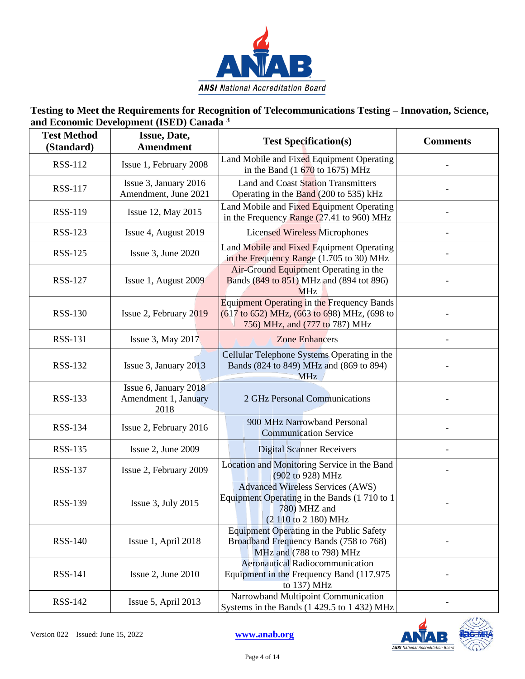

| <b>Test Method</b><br>(Standard) | Issue, Date,<br><b>Amendment</b>                      | <b>Test Specification(s)</b>                                                                                                       | <b>Comments</b> |
|----------------------------------|-------------------------------------------------------|------------------------------------------------------------------------------------------------------------------------------------|-----------------|
| <b>RSS-112</b>                   | Issue 1, February 2008                                | Land Mobile and Fixed Equipment Operating<br>in the Band $(1\ 670)$ to 1675) MHz                                                   |                 |
| <b>RSS-117</b>                   | Issue 3, January 2016<br>Amendment, June 2021         | Land and Coast Station Transmitters<br>Operating in the Band (200 to 535) kHz                                                      |                 |
| <b>RSS-119</b>                   | Issue 12, May 2015                                    | Land Mobile and Fixed Equipment Operating<br>in the Frequency Range (27.41 to 960) MHz                                             |                 |
| <b>RSS-123</b>                   | Issue 4, August 2019                                  | <b>Licensed Wireless Microphones</b>                                                                                               |                 |
| <b>RSS-125</b>                   | Issue 3, June 2020                                    | Land Mobile and Fixed Equipment Operating<br>in the Frequency Range (1.705 to 30) MHz                                              |                 |
| <b>RSS-127</b>                   | Issue 1, August 2009                                  | Air-Ground Equipment Operating in the<br>Bands (849 to 851) MHz and (894 tot 896)<br><b>MHz</b>                                    |                 |
| <b>RSS-130</b>                   | Issue 2, February 2019                                | <b>Equipment Operating in the Frequency Bands</b><br>(617 to 652) MHz, (663 to 698) MHz, (698 to<br>756) MHz, and (777 to 787) MHz |                 |
| <b>RSS-131</b>                   | Issue 3, May 2017                                     | <b>Zone Enhancers</b>                                                                                                              |                 |
| <b>RSS-132</b>                   | Issue 3, January 2013                                 | Cellular Telephone Systems Operating in the<br>Bands (824 to 849) MHz and (869 to 894)<br><b>MHz</b>                               |                 |
| <b>RSS-133</b>                   | Issue 6, January 2018<br>Amendment 1, January<br>2018 | 2 GHz Personal Communications                                                                                                      |                 |
| <b>RSS-134</b>                   | Issue 2, February 2016                                | 900 MHz Narrowband Personal<br><b>Communication Service</b>                                                                        |                 |
| <b>RSS-135</b>                   | Issue 2, June 2009                                    | <b>Digital Scanner Receivers</b>                                                                                                   |                 |
| <b>RSS-137</b>                   | Issue 2, February 2009                                | Location and Monitoring Service in the Band<br>(902 to 928) MHz                                                                    |                 |
| <b>RSS-139</b>                   | Issue $3$ , July 2015                                 | <b>Advanced Wireless Services (AWS)</b><br>Equipment Operating in the Bands (1710 to 1<br>780) MHZ and<br>(2 110 to 2 180) MHz     |                 |
| <b>RSS-140</b>                   | Issue 1, April 2018                                   | Equipment Operating in the Public Safety<br>Broadband Frequency Bands (758 to 768)<br>MHz and (788 to 798) MHz                     |                 |
| <b>RSS-141</b>                   | Issue 2, June 2010                                    | <b>Aeronautical Radiocommunication</b><br>Equipment in the Frequency Band (117.975)<br>to 137) MHz                                 |                 |
| <b>RSS-142</b>                   | Issue 5, April 2013                                   | Narrowband Multipoint Communication<br>Systems in the Bands (1 429.5 to 1 432) MHz                                                 |                 |

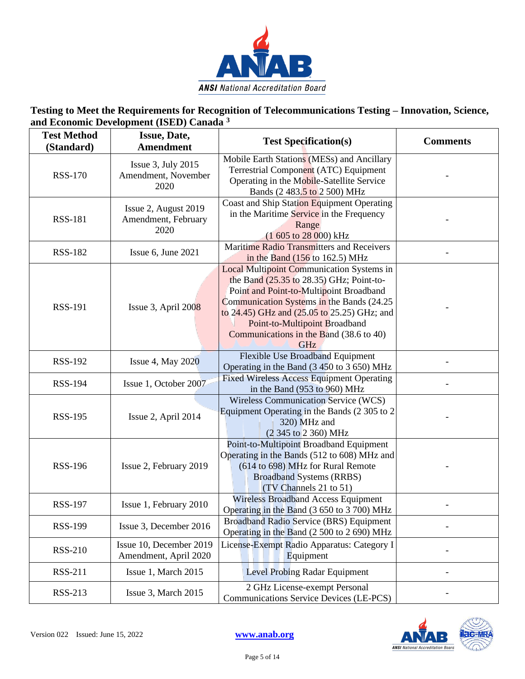

| <b>Test Method</b><br>(Standard) | Issue, Date,<br><b>Amendment</b>                     | <b>Test Specification(s)</b>                                                                                                                                                                                                                                                                                              | <b>Comments</b> |
|----------------------------------|------------------------------------------------------|---------------------------------------------------------------------------------------------------------------------------------------------------------------------------------------------------------------------------------------------------------------------------------------------------------------------------|-----------------|
| <b>RSS-170</b>                   | Issue $3$ , July 2015<br>Amendment, November<br>2020 | Mobile Earth Stations (MESs) and Ancillary<br>Terrestrial Component (ATC) Equipment<br>Operating in the Mobile-Satellite Service<br>Bands (2 483.5 to 2 500) MHz                                                                                                                                                          |                 |
| <b>RSS-181</b>                   | Issue 2, August 2019<br>Amendment, February<br>2020  | Coast and Ship Station Equipment Operating<br>in the Maritime Service in the Frequency<br>Range<br>$(1605 \text{ to } 28000) \text{ kHz}$                                                                                                                                                                                 |                 |
| <b>RSS-182</b>                   | Issue 6, June 2021                                   | Maritime Radio Transmitters and Receivers<br>in the Band $(156 \text{ to } 162.5) \text{ MHz}$                                                                                                                                                                                                                            |                 |
| <b>RSS-191</b>                   | Issue $3$ , April 2008                               | <b>Local Multipoint Communication Systems in</b><br>the Band $(25.35$ to 28.35) GHz; Point-to-<br>Point and Point-to-Multipoint Broadband<br>Communication Systems in the Bands (24.25)<br>to 24.45) GHz and (25.05 to 25.25) GHz; and<br>Point-to-Multipoint Broadband<br>Communications in the Band (38.6 to 40)<br>GHz |                 |
| <b>RSS-192</b>                   | <b>Issue 4, May 2020</b>                             | Flexible Use Broadband Equipment<br>Operating in the Band (3 450 to 3 650) MHz                                                                                                                                                                                                                                            |                 |
| <b>RSS-194</b>                   | Issue 1, October 2007                                | <b>Fixed Wireless Access Equipment Operating</b><br>in the Band (953 to 960) MHz                                                                                                                                                                                                                                          |                 |
| <b>RSS-195</b>                   | Issue 2, April 2014                                  | <b>Wireless Communication Service (WCS)</b><br>Equipment Operating in the Bands (2 305 to 2<br>320) MHz and<br>(2 345 to 2 360) MHz                                                                                                                                                                                       |                 |
| <b>RSS-196</b>                   | Issue 2, February 2019                               | Point-to-Multipoint Broadband Equipment<br>Operating in the Bands (512 to 608) MHz and<br>(614 to 698) MHz for Rural Remote<br><b>Broadband Systems (RRBS)</b><br>(TV Channels 21 to 51)                                                                                                                                  |                 |
| <b>RSS-197</b>                   | Issue 1, February 2010                               | <b>Wireless Broadband Access Equipment</b><br>Operating in the Band (3 650 to 3 700) MHz                                                                                                                                                                                                                                  |                 |
| <b>RSS-199</b>                   | Issue 3, December 2016                               | Broadband Radio Service (BRS) Equipment<br>Operating in the Band (2 500 to 2 690) MHz                                                                                                                                                                                                                                     |                 |
| <b>RSS-210</b>                   | Issue 10, December 2019<br>Amendment, April 2020     | License-Exempt Radio Apparatus: Category I<br>Equipment                                                                                                                                                                                                                                                                   |                 |
| <b>RSS-211</b>                   | Issue 1, March 2015                                  | Level Probing Radar Equipment                                                                                                                                                                                                                                                                                             |                 |
| <b>RSS-213</b>                   | Issue 3, March 2015                                  | 2 GHz License-exempt Personal<br>Communications Service Devices (LE-PCS)                                                                                                                                                                                                                                                  |                 |

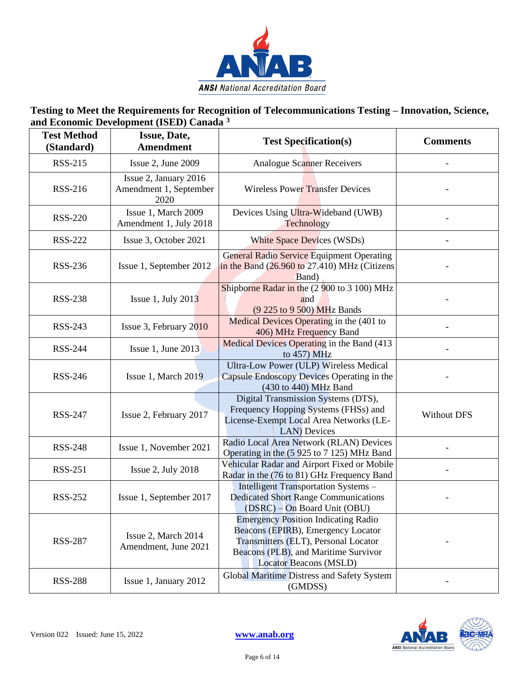

| <b>Test Method</b><br>(Standard) | Issue, Date,<br><b>Amendment</b>                        | <b>Test Specification(s)</b>                                                                                                                                                                      | <b>Comments</b>    |
|----------------------------------|---------------------------------------------------------|---------------------------------------------------------------------------------------------------------------------------------------------------------------------------------------------------|--------------------|
| <b>RSS-215</b>                   | Issue 2, June 2009                                      | <b>Analogue Scanner Receivers</b>                                                                                                                                                                 |                    |
| <b>RSS-216</b>                   | Issue 2, January 2016<br>Amendment 1, September<br>2020 | <b>Wireless Power Transfer Devices</b>                                                                                                                                                            |                    |
| <b>RSS-220</b>                   | Issue 1, March 2009<br>Amendment 1, July 2018           | Devices Using Ultra-Wideband (UWB)<br>Technology                                                                                                                                                  |                    |
| <b>RSS-222</b>                   | Issue 3, October 2021                                   | <b>White Space Devices (WSDs)</b>                                                                                                                                                                 |                    |
| <b>RSS-236</b>                   | Issue 1, September 2012                                 | <b>General Radio Service Equipment Operating</b><br>in the Band (26.960 to 27.410) MHz (Citizens<br>Band)                                                                                         |                    |
| <b>RSS-238</b>                   | Issue 1, July $2013$                                    | Shipborne Radar in the (2 900 to 3 100) MHz<br>and<br>(9 225 to 9 500) MHz Bands                                                                                                                  |                    |
| <b>RSS-243</b>                   | Issue 3, February 2010                                  | Medical Devices Operating in the (401 to<br>406) MHz Frequency Band                                                                                                                               |                    |
| <b>RSS-244</b>                   | Issue 1, June 2013                                      | Medical Devices Operating in the Band (413<br>to 457) MHz                                                                                                                                         |                    |
| <b>RSS-246</b>                   | Issue 1, March 2019                                     | Ultra-Low Power (ULP) Wireless Medical<br>Capsule Endoscopy Devices Operating in the<br>(430 to 440) MHz Band                                                                                     |                    |
| <b>RSS-247</b>                   | Issue 2, February 2017                                  | Digital Transmission Systems (DTS),<br>Frequency Hopping Systems (FHSs) and<br>License-Exempt Local Area Networks (LE-<br>LAN) Devices                                                            | <b>Without DFS</b> |
| <b>RSS-248</b>                   | Issue 1, November 2021                                  | Radio Local Area Network (RLAN) Devices<br>Operating in the (5 925 to 7 125) MHz Band                                                                                                             |                    |
| <b>RSS-251</b>                   | Issue 2, July 2018                                      | Vehicular Radar and Airport Fixed or Mobile<br>Radar in the (76 to 81) GHz Frequency Band                                                                                                         |                    |
| <b>RSS-252</b>                   | Issue 1, September 2017                                 | Intelligent Transportation Systems -<br><b>Dedicated Short Range Communications</b><br>(DSRC) - On Board Unit (OBU)                                                                               |                    |
| <b>RSS-287</b>                   | Issue 2, March 2014<br>Amendment, June 2021             | <b>Emergency Position Indicating Radio</b><br>Beacons (EPIRB), Emergency Locator<br>Transmitters (ELT), Personal Locator<br>Beacons (PLB), and Maritime Survivor<br><b>Locator Beacons (MSLD)</b> |                    |
| <b>RSS-288</b>                   | Issue 1, January 2012                                   | Global Maritime Distress and Safety System<br>(GMDSS)                                                                                                                                             |                    |

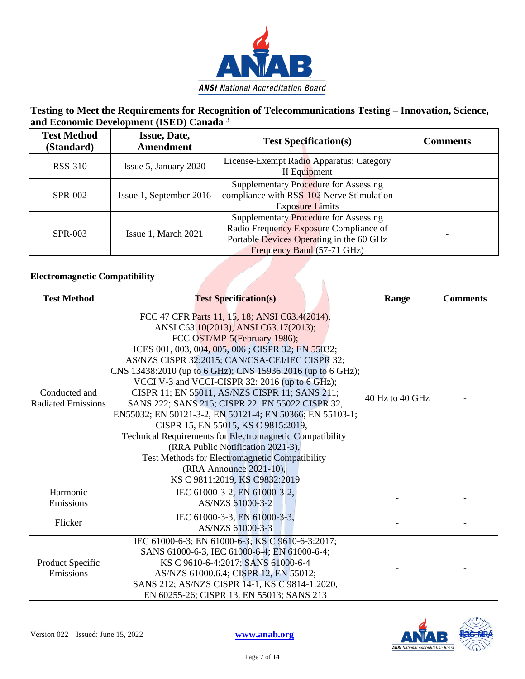

| <b>Test Method</b><br>(Standard) | <b>Issue, Date,</b><br><b>Amendment</b> | <b>Test Specification(s)</b>                                                                                                                              | <b>Comments</b> |
|----------------------------------|-----------------------------------------|-----------------------------------------------------------------------------------------------------------------------------------------------------------|-----------------|
| RSS-310                          | Issue 5, January 2020                   | License-Exempt Radio Apparatus: Category<br>II Equipment                                                                                                  |                 |
| <b>SPR-002</b>                   | Issue 1, September 2016                 | Supplementary Procedure for Assessing<br>compliance with RSS-102 Nerve Stimulation<br><b>Exposure Limits</b>                                              |                 |
| <b>SPR-003</b>                   | Issue 1, March 2021                     | Supplementary Procedure for Assessing<br>Radio Frequency Exposure Compliance of<br>Portable Devices Operating in the 60 GHz<br>Frequency Band (57-71 GHz) |                 |

| <b>Test Method</b>                         | <b>Test Specification(s)</b>                                                                                                                                                                                                                                                                                                                                                                                                                                                                                                                                                                                                                                                                                                                                              | Range           | <b>Comments</b> |
|--------------------------------------------|---------------------------------------------------------------------------------------------------------------------------------------------------------------------------------------------------------------------------------------------------------------------------------------------------------------------------------------------------------------------------------------------------------------------------------------------------------------------------------------------------------------------------------------------------------------------------------------------------------------------------------------------------------------------------------------------------------------------------------------------------------------------------|-----------------|-----------------|
| Conducted and<br><b>Radiated Emissions</b> | FCC 47 CFR Parts 11, 15, 18; ANSI C63.4(2014),<br>ANSI C63.10(2013), ANSI C63.17(2013);<br>FCC OST/MP-5(February 1986);<br>ICES 001, 003, 004, 005, 006; CISPR 32; EN 55032;<br>AS/NZS CISPR 32:2015; CAN/CSA-CEI/IEC CISPR 32;<br>CNS 13438:2010 (up to 6 GHz); CNS 15936:2016 (up to 6 GHz);<br>VCCI V-3 and VCCI-CISPR 32: 2016 (up to 6 GHz);<br>CISPR 11; EN 55011, AS/NZS CISPR 11; SANS 211;<br>SANS 222; SANS 215; CISPR 22. EN 55022 CISPR 32,<br>EN55032; EN 50121-3-2, EN 50121-4; EN 50366; EN 55103-1;<br>CISPR 15, EN 55015, KS C 9815:2019,<br>Technical Requirements for Electromagnetic Compatibility<br>(RRA Public Notification 2021-3),<br>Test Methods for Electromagnetic Compatibility<br>(RRA Announce 2021-10),<br>KS C 9811:2019, KS C9832:2019 | 40 Hz to 40 GHz |                 |
| Harmonic<br>Emissions                      | IEC 61000-3-2, EN 61000-3-2,<br>AS/NZS 61000-3-2                                                                                                                                                                                                                                                                                                                                                                                                                                                                                                                                                                                                                                                                                                                          |                 |                 |
| Flicker                                    | IEC 61000-3-3, EN 61000-3-3,<br>AS/NZS 61000-3-3                                                                                                                                                                                                                                                                                                                                                                                                                                                                                                                                                                                                                                                                                                                          |                 |                 |
| Product Specific<br>Emissions              | IEC 61000-6-3; EN 61000-6-3; KS C 9610-6-3:2017;<br>SANS 61000-6-3, IEC 61000-6-4; EN 61000-6-4;<br>KS C 9610-6-4:2017; SANS 61000-6-4<br>AS/NZS 61000.6.4; CISPR 12, EN 55012;<br>SANS 212; AS/NZS CISPR 14-1, KS C 9814-1:2020,<br>EN 60255-26; CISPR 13, EN 55013; SANS 213                                                                                                                                                                                                                                                                                                                                                                                                                                                                                            |                 |                 |

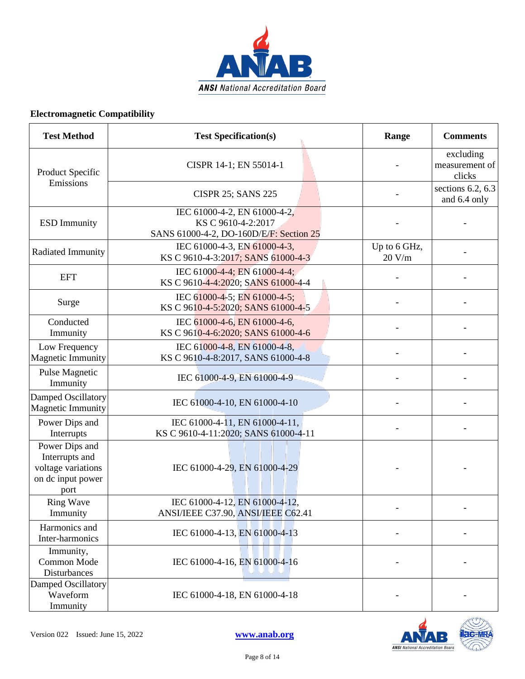

| <b>Test Method</b>                                                                  | <b>Test Specification(s)</b>                                                                  | Range                  | <b>Comments</b>                       |
|-------------------------------------------------------------------------------------|-----------------------------------------------------------------------------------------------|------------------------|---------------------------------------|
| Product Specific                                                                    | CISPR 14-1; EN 55014-1                                                                        |                        | excluding<br>measurement of<br>clicks |
| Emissions                                                                           | <b>CISPR 25; SANS 225</b>                                                                     |                        | sections $6.2, 6.3$<br>and 6.4 only   |
| <b>ESD</b> Immunity                                                                 | IEC 61000-4-2, EN 61000-4-2,<br>KS C 9610-4-2:2017<br>SANS 61000-4-2, DO-160D/E/F: Section 25 |                        |                                       |
| Radiated Immunity                                                                   | IEC 61000-4-3, EN 61000-4-3,<br>KS C 9610-4-3:2017; SANS 61000-4-3                            | Up to 6 GHz,<br>20 V/m |                                       |
| <b>EFT</b>                                                                          | IEC 61000-4-4; EN 61000-4-4;<br>KS C 9610-4-4:2020; SANS 61000-4-4                            |                        |                                       |
| Surge                                                                               | IEC 61000-4-5; EN 61000-4-5;<br>KS C 9610-4-5:2020; SANS 61000-4-5                            |                        |                                       |
| Conducted<br>Immunity                                                               | IEC 61000-4-6, EN 61000-4-6,<br>KS C 9610-4-6:2020; SANS 61000-4-6                            |                        |                                       |
| Low Frequency<br><b>Magnetic Immunity</b>                                           | IEC 61000-4-8, EN 61000-4-8,<br>KS C 9610-4-8:2017, SANS 61000-4-8                            |                        |                                       |
| Pulse Magnetic<br>Immunity                                                          | IEC 61000-4-9, EN 61000-4-9                                                                   |                        |                                       |
| Damped Oscillatory<br><b>Magnetic Immunity</b>                                      | IEC 61000-4-10, EN 61000-4-10                                                                 |                        |                                       |
| Power Dips and<br>Interrupts                                                        | IEC 61000-4-11, EN 61000-4-11,<br>KS C 9610-4-11:2020; SANS 61000-4-11                        |                        |                                       |
| Power Dips and<br>Interrupts and<br>voltage variations<br>on dc input power<br>port | IEC 61000-4-29, EN 61000-4-29                                                                 |                        |                                       |
| <b>Ring Wave</b><br>Immunity                                                        | IEC 61000-4-12, EN 61000-4-12,<br>ANSI/IEEE C37.90, ANSI/IEEE C62.41                          |                        |                                       |
| Harmonics and<br>Inter-harmonics                                                    | IEC 61000-4-13, EN 61000-4-13                                                                 |                        |                                       |
| Immunity,<br>Common Mode<br>Disturbances                                            | IEC 61000-4-16, EN 61000-4-16                                                                 |                        |                                       |
| Damped Oscillatory<br>Waveform<br>Immunity                                          | IEC 61000-4-18, EN 61000-4-18                                                                 |                        |                                       |

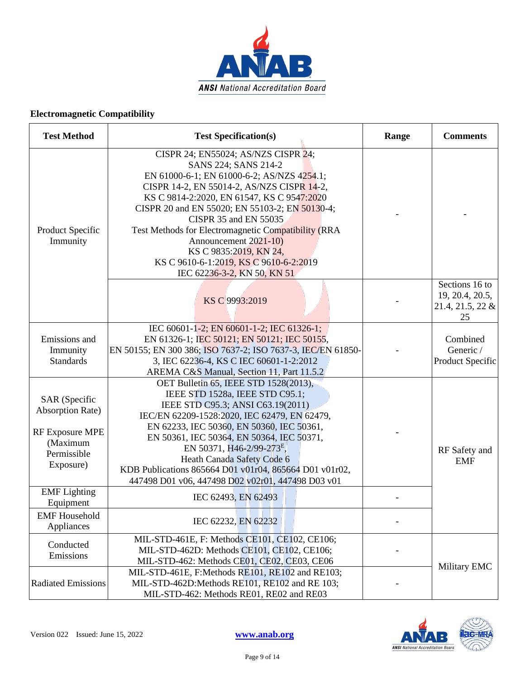

| <b>Test Method</b>                                                                                         | <b>Test Specification(s)</b>                                                                                                                                                                                                                                                                                                                                                                                                                                        | Range | <b>Comments</b>                                             |
|------------------------------------------------------------------------------------------------------------|---------------------------------------------------------------------------------------------------------------------------------------------------------------------------------------------------------------------------------------------------------------------------------------------------------------------------------------------------------------------------------------------------------------------------------------------------------------------|-------|-------------------------------------------------------------|
| Product Specific<br>Immunity                                                                               | CISPR 24; EN55024; AS/NZS CISPR 24;<br>SANS 224; SANS 214-2<br>EN 61000-6-1; EN 61000-6-2; AS/NZS 4254.1;<br>CISPR 14-2, EN 55014-2, AS/NZS CISPR 14-2,<br>KS C 9814-2:2020, EN 61547, KS C 9547:2020<br>CISPR 20 and EN 55020; EN 55103-2; EN 50130-4;<br>CISPR 35 and EN 55035<br>Test Methods for Electromagnetic Compatibility (RRA<br>Announcement 2021-10)<br>KS C 9835:2019, KN 24,<br>KS C 9610-6-1:2019, KS C 9610-6-2:2019<br>IEC 62236-3-2, KN 50, KN 51 |       |                                                             |
|                                                                                                            | KS C 9993:2019                                                                                                                                                                                                                                                                                                                                                                                                                                                      |       | Sections 16 to<br>19, 20.4, 20.5,<br>21.4, 21.5, 22 &<br>25 |
| Emissions and<br>Immunity<br><b>Standards</b>                                                              | IEC 60601-1-2; EN 60601-1-2; IEC 61326-1;<br>EN 61326-1; IEC 50121; EN 50121; IEC 50155,<br>EN 50155; EN 300 386; ISO 7637-2; ISO 7637-3, IEC/EN 61850-<br>3, IEC 62236-4, KS C IEC 60601-1-2:2012<br>AREMA C&S Manual, Section 11, Part 11.5.2                                                                                                                                                                                                                     |       | Combined<br>Generic /<br>Product Specific                   |
| SAR (Specific<br><b>Absorption Rate)</b><br><b>RF Exposure MPE</b><br>(Maximum<br>Permissible<br>Exposure) | OET Bulletin 65, IEEE STD 1528(2013),<br>IEEE STD 1528a, IEEE STD C95.1;<br>IEEE STD C95.3; ANSI C63.19(2011)<br>IEC/EN 62209-1528:2020, IEC 62479, EN 62479,<br>EN 62233, IEC 50360, EN 50360, IEC 50361,<br>EN 50361, IEC 50364, EN 50364, IEC 50371,<br>EN 50371, H46-2/99-273 <sup>E</sup> ,<br>Heath Canada Safety Code 6<br>KDB Publications 865664 D01 v01r04, 865664 D01 v01r02,<br>447498 D01 v06, 447498 D02 v02r01, 447498 D03 v01                       |       | RF Safety and<br><b>EMF</b>                                 |
| <b>EMF</b> Lighting<br>Equipment                                                                           | IEC 62493, EN 62493                                                                                                                                                                                                                                                                                                                                                                                                                                                 |       |                                                             |
| <b>EMF</b> Household<br>Appliances                                                                         | IEC 62232, EN 62232                                                                                                                                                                                                                                                                                                                                                                                                                                                 |       |                                                             |
| Conducted<br>Emissions                                                                                     | MIL-STD-461E, F: Methods CE101, CE102, CE106;<br>MIL-STD-462D: Methods CE101, CE102, CE106;<br>MIL-STD-462: Methods CE01, CE02, CE03, CE06                                                                                                                                                                                                                                                                                                                          |       | Military EMC                                                |
| <b>Radiated Emissions</b>                                                                                  | MIL-STD-461E, F:Methods RE101, RE102 and RE103;<br>MIL-STD-462D:Methods RE101, RE102 and RE 103;<br>MIL-STD-462: Methods RE01, RE02 and RE03                                                                                                                                                                                                                                                                                                                        |       |                                                             |

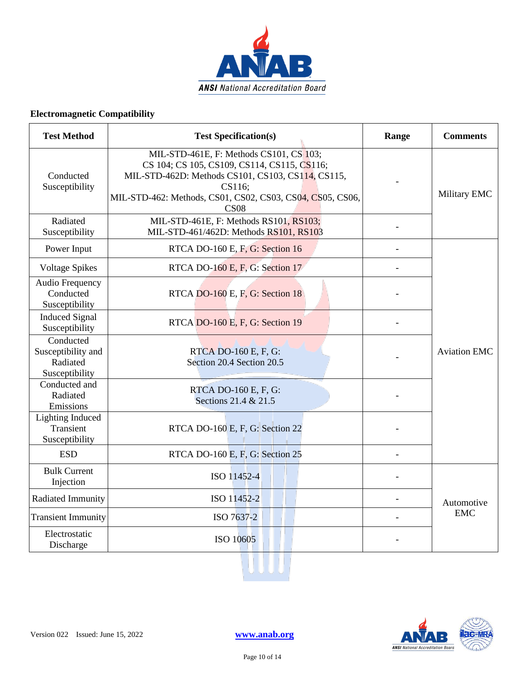

| <b>Test Method</b>                                            | <b>Test Specification(s)</b>                                                                                                                                                                                                      | Range | <b>Comments</b>     |
|---------------------------------------------------------------|-----------------------------------------------------------------------------------------------------------------------------------------------------------------------------------------------------------------------------------|-------|---------------------|
| Conducted<br>Susceptibility                                   | MIL-STD-461E, F: Methods CS101, CS 103;<br>CS 104; CS 105, CS109, CS114, CS115, CS116;<br>MIL-STD-462D: Methods CS101, CS103, CS114, CS115,<br>CS116;<br>MIL-STD-462: Methods, CS01, CS02, CS03, CS04, CS05, CS06,<br><b>CS08</b> |       | Military EMC        |
| Radiated<br>Susceptibility                                    | MIL-STD-461E, F: Methods RS101, RS103;<br>MIL-STD-461/462D: Methods RS101, RS103                                                                                                                                                  |       |                     |
| Power Input                                                   | RTCA DO-160 E, F, G: Section 16                                                                                                                                                                                                   |       |                     |
| <b>Voltage Spikes</b>                                         | RTCA DO-160 E, F, G: Section 17                                                                                                                                                                                                   |       |                     |
| <b>Audio Frequency</b><br>Conducted<br>Susceptibility         | RTCA DO-160 E, F, G: Section 18                                                                                                                                                                                                   |       |                     |
| <b>Induced Signal</b><br>Susceptibility                       | RTCA DO-160 E, F, G: Section 19                                                                                                                                                                                                   |       |                     |
| Conducted<br>Susceptibility and<br>Radiated<br>Susceptibility | RTCA DO-160 E, F, G:<br>Section 20.4 Section 20.5                                                                                                                                                                                 |       | <b>Aviation EMC</b> |
| Conducted and<br>Radiated<br>Emissions                        | RTCA DO-160 E, F, G:<br>Sections 21.4 & 21.5                                                                                                                                                                                      |       |                     |
| <b>Lighting Induced</b><br>Transient<br>Susceptibility        | RTCA DO-160 E, F, G: Section 22                                                                                                                                                                                                   |       |                     |
| <b>ESD</b>                                                    | RTCA DO-160 E, F, G: Section 25                                                                                                                                                                                                   |       |                     |
| <b>Bulk Current</b><br>Injection                              | ISO 11452-4                                                                                                                                                                                                                       |       |                     |
| Radiated Immunity                                             | ISO 11452-2                                                                                                                                                                                                                       |       | Automotive          |
| <b>Transient Immunity</b>                                     | ISO 7637-2                                                                                                                                                                                                                        |       | <b>EMC</b>          |
| Electrostatic<br>Discharge                                    | ISO 10605                                                                                                                                                                                                                         |       |                     |

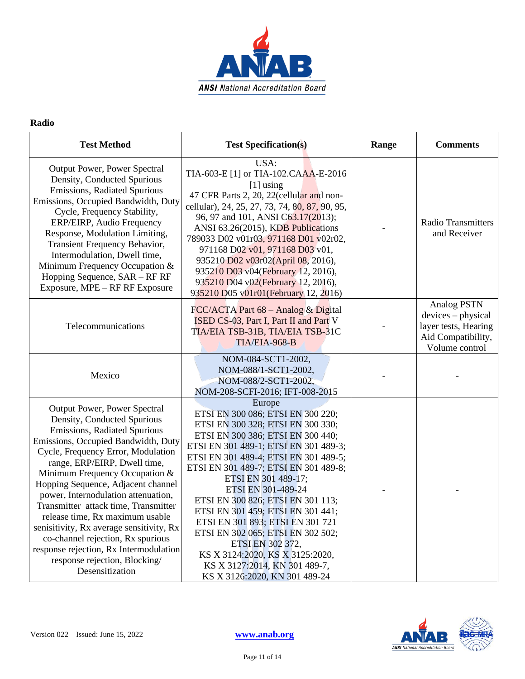

#### **Radio**

| <b>Test Method</b>                                                                                                                                                                                                                                                                                                                                                                                                                                                                                                                                                                | <b>Test Specification(s)</b>                                                                                                                                                                                                                                                                                                                                                                                                                                                                                                                                              | Range | <b>Comments</b>                                                                                          |
|-----------------------------------------------------------------------------------------------------------------------------------------------------------------------------------------------------------------------------------------------------------------------------------------------------------------------------------------------------------------------------------------------------------------------------------------------------------------------------------------------------------------------------------------------------------------------------------|---------------------------------------------------------------------------------------------------------------------------------------------------------------------------------------------------------------------------------------------------------------------------------------------------------------------------------------------------------------------------------------------------------------------------------------------------------------------------------------------------------------------------------------------------------------------------|-------|----------------------------------------------------------------------------------------------------------|
| Output Power, Power Spectral<br>Density, Conducted Spurious<br>Emissions, Radiated Spurious<br>Emissions, Occupied Bandwidth, Duty<br>Cycle, Frequency Stability,<br>ERP/EIRP, Audio Frequency<br>Response, Modulation Limiting,<br>Transient Frequency Behavior,<br>Intermodulation, Dwell time,<br>Minimum Frequency Occupation &<br>Hopping Sequence, SAR - RF RF<br>Exposure, MPE – RF RF Exposure                                                                                                                                                                            | USA:<br>TIA-603-E [1] or TIA-102.CAAA-E-2016<br>$[1]$ using<br>47 CFR Parts 2, 20, 22(cellular and non-<br>cellular), 24, 25, 27, 73, 74, 80, 87, 90, 95,<br>96, 97 and 101, ANSI C63.17(2013);<br>ANSI 63.26(2015), KDB Publications<br>789033 D02 v01r03, 971168 D01 v02r02,<br>971168 D02 v01, 971168 D03 v01,<br>935210 D02 v03r02(April 08, 2016),<br>935210 D03 v04(February 12, 2016),<br>935210 D04 v02(February 12, 2016),<br>935210 D05 v01r01 (February 12, 2016)                                                                                              |       | <b>Radio Transmitters</b><br>and Receiver                                                                |
| Telecommunications                                                                                                                                                                                                                                                                                                                                                                                                                                                                                                                                                                | FCC/ACTA Part 68 - Analog & Digital<br>ISED CS-03, Part I, Part II and Part V<br>TIA/EIA TSB-31B, TIA/EIA TSB-31C<br>TIA/EIA-968-B                                                                                                                                                                                                                                                                                                                                                                                                                                        |       | <b>Analog PSTN</b><br>devices - physical<br>layer tests, Hearing<br>Aid Compatibility,<br>Volume control |
| Mexico                                                                                                                                                                                                                                                                                                                                                                                                                                                                                                                                                                            | NOM-084-SCT1-2002,<br>NOM-088/1-SCT1-2002,<br>NOM-088/2-SCT1-2002,<br>NOM-208-SCFI-2016; IFT-008-2015                                                                                                                                                                                                                                                                                                                                                                                                                                                                     |       |                                                                                                          |
| Output Power, Power Spectral<br>Density, Conducted Spurious<br>Emissions, Radiated Spurious<br>Emissions, Occupied Bandwidth, Duty<br>Cycle, Frequency Error, Modulation<br>range, ERP/EIRP, Dwell time,<br>Minimum Frequency Occupation &<br>Hopping Sequence, Adjacent channel<br>power, Internodulation attenuation,<br>Transmitter attack time, Transmitter<br>release time, Rx maximum usable<br>senisitivity, Rx average sensitivity, Rx<br>co-channel rejection, Rx spurious<br>response rejection, Rx Intermodulation<br>response rejection, Blocking/<br>Desensitization | Europe<br>ETSI EN 300 086; ETSI EN 300 220;<br>ETSI EN 300 328; ETSI EN 300 330;<br>ETSI EN 300 386; ETSI EN 300 440;<br>ETSI EN 301 489-1; ETSI EN 301 489-3;<br>ETSI EN 301 489-4; ETSI EN 301 489-5;<br>ETSI EN 301 489-7; ETSI EN 301 489-8;<br>ETSI EN 301 489-17;<br>ETSI EN 301-489-24<br>ETSI EN 300 826; ETSI EN 301 113;<br>ETSI EN 301 459; ETSI EN 301 441;<br>ETSI EN 301 893; ETSI EN 301 721<br>ETSI EN 302 065; ETSI EN 302 502;<br>ETSI EN 302 372,<br>KS X 3124:2020, KS X 3125:2020,<br>KS X 3127:2014, KN 301 489-7,<br>KS X 3126:2020, KN 301 489-24 |       |                                                                                                          |

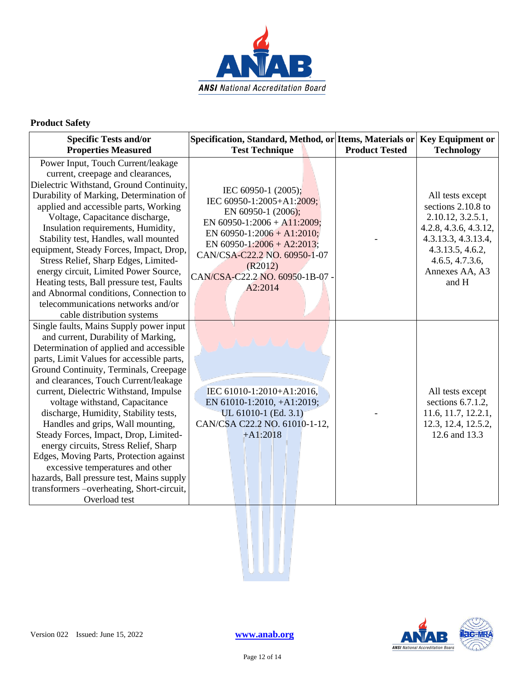

#### **Product Safety**

| <b>Specific Tests and/or</b><br><b>Properties Measured</b>                                                                                                                                                                                                                                                                                                                                                                                                                                                                                                                                                                                                                                      | Specification, Standard, Method, or Items, Materials or<br><b>Test Technique</b>                                                                                                                                                                           | <b>Product Tested</b> | <b>Key Equipment or</b><br><b>Technology</b>                                                                                                                                  |
|-------------------------------------------------------------------------------------------------------------------------------------------------------------------------------------------------------------------------------------------------------------------------------------------------------------------------------------------------------------------------------------------------------------------------------------------------------------------------------------------------------------------------------------------------------------------------------------------------------------------------------------------------------------------------------------------------|------------------------------------------------------------------------------------------------------------------------------------------------------------------------------------------------------------------------------------------------------------|-----------------------|-------------------------------------------------------------------------------------------------------------------------------------------------------------------------------|
|                                                                                                                                                                                                                                                                                                                                                                                                                                                                                                                                                                                                                                                                                                 |                                                                                                                                                                                                                                                            |                       |                                                                                                                                                                               |
| Power Input, Touch Current/leakage<br>current, creepage and clearances,<br>Dielectric Withstand, Ground Continuity,<br>Durability of Marking, Determination of<br>applied and accessible parts, Working<br>Voltage, Capacitance discharge,<br>Insulation requirements, Humidity,<br>Stability test, Handles, wall mounted<br>equipment, Steady Forces, Impact, Drop,<br>Stress Relief, Sharp Edges, Limited-<br>energy circuit, Limited Power Source,<br>Heating tests, Ball pressure test, Faults<br>and Abnormal conditions, Connection to<br>telecommunications networks and/or<br>cable distribution systems                                                                                | IEC 60950-1 (2005);<br>IEC 60950-1:2005+A1:2009;<br>EN 60950-1 (2006);<br>EN 60950-1:2006 + A11:2009;<br>EN 60950-1:2006 + A1:2010;<br>EN 60950-1:2006 + A2:2013;<br>CAN/CSA-C22.2 NO. 60950-1-07<br>(R2012)<br>CAN/CSA-C22.2 NO. 60950-1B-07 -<br>A2:2014 |                       | All tests except<br>sections 2.10.8 to<br>2.10.12, 3.2.5.1,<br>4.2.8, 4.3.6, 4.3.12,<br>4.3.13.3, 4.3.13.4,<br>4.3.13.5, 4.6.2,<br>4.6.5, 4.7.3.6,<br>Annexes AA, A3<br>and H |
| Single faults, Mains Supply power input<br>and current, Durability of Marking,<br>Determination of applied and accessible<br>parts, Limit Values for accessible parts,<br>Ground Continuity, Terminals, Creepage<br>and clearances, Touch Current/leakage<br>current, Dielectric Withstand, Impulse<br>voltage withstand, Capacitance<br>discharge, Humidity, Stability tests,<br>Handles and grips, Wall mounting,<br>Steady Forces, Impact, Drop, Limited-<br>energy circuits, Stress Relief, Sharp<br>Edges, Moving Parts, Protection against<br>excessive temperatures and other<br>hazards, Ball pressure test, Mains supply<br>transformers -overheating, Short-circuit,<br>Overload test | IEC 61010-1:2010+A1:2016,<br>EN 61010-1:2010, +A1:2019;<br>UL 61010-1 (Ed. 3.1)<br>CAN/CSA C22.2 NO. 61010-1-12,<br>$+A1:2018$                                                                                                                             |                       | All tests except<br>sections 6.7.1.2,<br>11.6, 11.7, 12.2.1,<br>12.3, 12.4, 12.5.2,<br>12.6 and 13.3                                                                          |

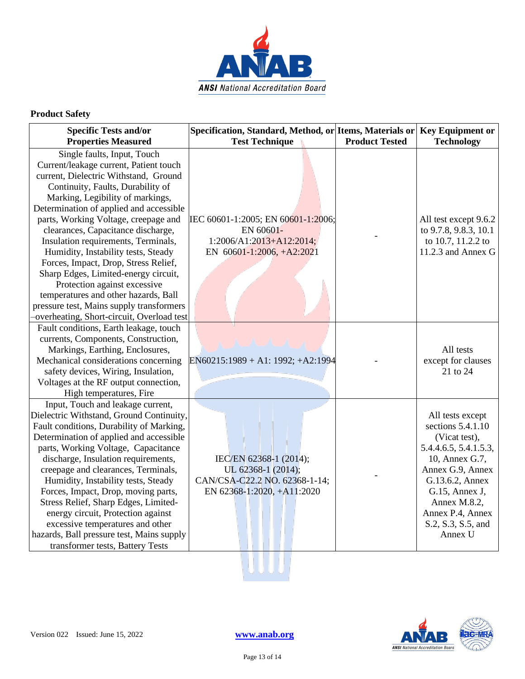

#### **Product Safety**

| <b>Specific Tests and/or</b>                                                                                                                                                                                                                                                                                                                                                                                                                                                                                                                                                                       | Specification, Standard, Method, or Items, Materials or                                                     |                       | <b>Key Equipment or</b>                                                                                                                                                                                                         |
|----------------------------------------------------------------------------------------------------------------------------------------------------------------------------------------------------------------------------------------------------------------------------------------------------------------------------------------------------------------------------------------------------------------------------------------------------------------------------------------------------------------------------------------------------------------------------------------------------|-------------------------------------------------------------------------------------------------------------|-----------------------|---------------------------------------------------------------------------------------------------------------------------------------------------------------------------------------------------------------------------------|
| <b>Properties Measured</b>                                                                                                                                                                                                                                                                                                                                                                                                                                                                                                                                                                         | <b>Test Technique</b>                                                                                       | <b>Product Tested</b> | <b>Technology</b>                                                                                                                                                                                                               |
| Single faults, Input, Touch<br>Current/leakage current, Patient touch<br>current, Dielectric Withstand, Ground<br>Continuity, Faults, Durability of<br>Marking, Legibility of markings,<br>Determination of applied and accessible<br>parts, Working Voltage, creepage and<br>clearances, Capacitance discharge,<br>Insulation requirements, Terminals,<br>Humidity, Instability tests, Steady<br>Forces, Impact, Drop, Stress Relief,<br>Sharp Edges, Limited-energy circuit,<br>Protection against excessive<br>temperatures and other hazards, Ball<br>pressure test, Mains supply transformers | IEC 60601-1:2005; EN 60601-1:2006;<br>EN 60601-<br>$1:2006/A1:2013+A12:2014;$<br>EN 60601-1:2006, +A2:2021  |                       | All test except 9.6.2<br>to 9.7.8, 9.8.3, 10.1<br>to 10.7, 11.2.2 to<br>11.2.3 and Annex G                                                                                                                                      |
| -overheating, Short-circuit, Overload test<br>Fault conditions, Earth leakage, touch<br>currents, Components, Construction,<br>Markings, Earthing, Enclosures,<br>Mechanical considerations concerning<br>safety devices, Wiring, Insulation,<br>Voltages at the RF output connection,<br>High temperatures, Fire                                                                                                                                                                                                                                                                                  | $EN60215:1989 + A1:1992; +A2:1994$                                                                          |                       | All tests<br>except for clauses<br>21 to 24                                                                                                                                                                                     |
| Input, Touch and leakage current,<br>Dielectric Withstand, Ground Continuity,<br>Fault conditions, Durability of Marking,<br>Determination of applied and accessible<br>parts, Working Voltage, Capacitance<br>discharge, Insulation requirements,<br>creepage and clearances, Terminals,<br>Humidity, Instability tests, Steady<br>Forces, Impact, Drop, moving parts,<br>Stress Relief, Sharp Edges, Limited-<br>energy circuit, Protection against<br>excessive temperatures and other<br>hazards, Ball pressure test, Mains supply<br>transformer tests, Battery Tests                         | IEC/EN 62368-1 (2014);<br>UL 62368-1 (2014);<br>CAN/CSA-C22.2 NO. 62368-1-14;<br>EN 62368-1:2020, +A11:2020 |                       | All tests except<br>sections 5.4.1.10<br>(Vicat test),<br>5.4.4.6.5, 5.4.1.5.3,<br>10, Annex G.7,<br>Annex G.9, Annex<br>G.13.6.2, Annex<br>G.15, Annex J,<br>Annex M.8.2,<br>Annex P.4, Annex<br>S.2, S.3, S.5, and<br>Annex U |